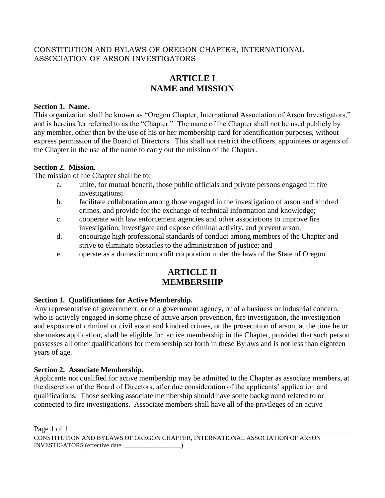# CONSTITUTION AND BYLAWS OF OREGON CHAPTER, INTERNATIONAL ASSOCIATION OF ARSON INVESTIGATORS

# **ARTICLE I NAME and MISSION**

### **Section 1. Name.**

This organization shall be known as "Oregon Chapter, International Association of Arson Investigators," and is hereinafter referred to as the "Chapter." The name of the Chapter shall not be used publicly by any member, other than by the use of his or her membership card for identification purposes, without express permission of the Board of Directors. This shall not restrict the officers, appointees or agents of the Chapter in the use of the name to carry out the mission of the Chapter.

## **Section 2. Mission.**

The mission of the Chapter shall be to:

- a. unite, for mutual benefit, those public officials and private persons engaged in fire investigations;
- b. facilitate collaboration among those engaged in the investigation of arson and kindred crimes, and provide for the exchange of technical information and knowledge;
- c. cooperate with law enforcement agencies and other associations to improve fire investigation, investigate and expose criminal activity, and prevent arson;
- d. encourage high professional standards of conduct among members of the Chapter and strive to eliminate obstacles to the administration of justice; and
- e. operate as a domestic nonprofit corporation under the laws of the State of Oregon.

# **ARTICLE II MEMBERSHIP**

## **Section 1. Qualifications for Active Membership.**

Any representative of government, or of a government agency, or of a business or industrial concern, who is actively engaged in some phase of active arson prevention, fire investigation, the investigation and exposure of criminal or civil arson and kindred crimes, or the prosecution of arson, at the time he or she makes application, shall be eligible for active membership in the Chapter, provided that such person possesses all other qualifications for membership set forth in these Bylaws and is not less than eighteen years of age.

## **Section 2. Associate Membership.**

Applicants not qualified for active membership may be admitted to the Chapter as associate members, at the discretion of the Board of Directors, after due consideration of the applicants' application and qualifications. Those seeking associate membership should have some background related to or connected to fire investigations. Associate members shall have all of the privileges of an active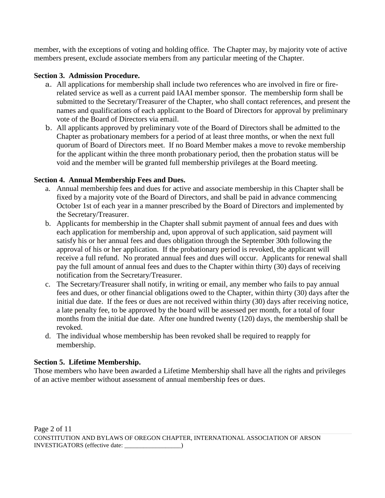member, with the exceptions of voting and holding office. The Chapter may, by majority vote of active members present, exclude associate members from any particular meeting of the Chapter.

### **Section 3. Admission Procedure.**

- a. All applications for membership shall include two references who are involved in fire or firerelated service as well as a current paid IAAI member sponsor. The membership form shall be submitted to the Secretary/Treasurer of the Chapter, who shall contact references, and present the names and qualifications of each applicant to the Board of Directors for approval by preliminary vote of the Board of Directors via email.
- b. All applicants approved by preliminary vote of the Board of Directors shall be admitted to the Chapter as probationary members for a period of at least three months, or when the next full quorum of Board of Directors meet. If no Board Member makes a move to revoke membership for the applicant within the three month probationary period, then the probation status will be void and the member will be granted full membership privileges at the Board meeting.

### **Section 4. Annual Membership Fees and Dues.**

- a. Annual membership fees and dues for active and associate membership in this Chapter shall be fixed by a majority vote of the Board of Directors, and shall be paid in advance commencing October 1st of each year in a manner prescribed by the Board of Directors and implemented by the Secretary/Treasurer.
- b. Applicants for membership in the Chapter shall submit payment of annual fees and dues with each application for membership and, upon approval of such application, said payment will satisfy his or her annual fees and dues obligation through the September 30th following the approval of his or her application. If the probationary period is revoked, the applicant will receive a full refund. No prorated annual fees and dues will occur. Applicants for renewal shall pay the full amount of annual fees and dues to the Chapter within thirty (30) days of receiving notification from the Secretary/Treasurer.
- c. The Secretary/Treasurer shall notify, in writing or email, any member who fails to pay annual fees and dues, or other financial obligations owed to the Chapter, within thirty (30) days after the initial due date. If the fees or dues are not received within thirty (30) days after receiving notice, a late penalty fee, to be approved by the board will be assessed per month, for a total of four months from the initial due date. After one hundred twenty (120) days, the membership shall be revoked.
- d. The individual whose membership has been revoked shall be required to reapply for membership.

#### **Section 5. Lifetime Membership.**

Those members who have been awarded a Lifetime Membership shall have all the rights and privileges of an active member without assessment of annual membership fees or dues.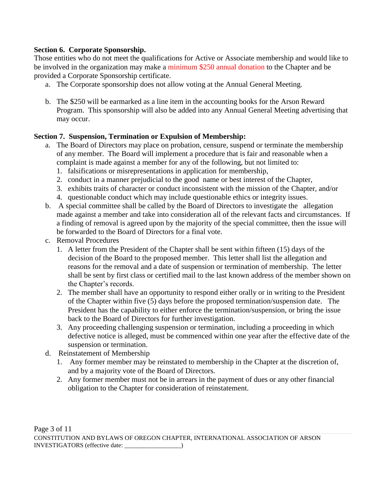### **Section 6. Corporate Sponsorship.**

Those entities who do not meet the qualifications for Active or Associate membership and would like to be involved in the organization may make a minimum \$250 annual donation to the Chapter and be provided a Corporate Sponsorship certificate.

- a. The Corporate sponsorship does not allow voting at the Annual General Meeting.
- b. The \$250 will be earmarked as a line item in the accounting books for the Arson Reward Program. This sponsorship will also be added into any Annual General Meeting advertising that may occur.

### **Section 7. Suspension, Termination or Expulsion of Membership:**

- a. The Board of Directors may place on probation, censure, suspend or terminate the membership of any member. The Board will implement a procedure that is fair and reasonable when a complaint is made against a member for any of the following, but not limited to:
	- 1. falsifications or misrepresentations in application for membership,
	- 2. conduct in a manner prejudicial to the good name or best interest of the Chapter,
	- 3. exhibits traits of character or conduct inconsistent with the mission of the Chapter, and/or
	- 4. questionable conduct which may include questionable ethics or integrity issues.
- b. A special committee shall be called by the Board of Directors to investigate the allegation made against a member and take into consideration all of the relevant facts and circumstances. If a finding of removal is agreed upon by the majority of the special committee, then the issue will be forwarded to the Board of Directors for a final vote.
- c. Removal Procedures
	- 1. A letter from the President of the Chapter shall be sent within fifteen (15) days of the decision of the Board to the proposed member. This letter shall list the allegation and reasons for the removal and a date of suspension or termination of membership. The letter shall be sent by first class or certified mail to the last known address of the member shown on the Chapter's records.
	- 2. The member shall have an opportunity to respond either orally or in writing to the President of the Chapter within five (5) days before the proposed termination/suspension date. The President has the capability to either enforce the termination/suspension, or bring the issue back to the Board of Directors for further investigation.
	- 3. Any proceeding challenging suspension or termination, including a proceeding in which defective notice is alleged, must be commenced within one year after the effective date of the suspension or termination.
- d. Reinstatement of Membership
	- 1. Any former member may be reinstated to membership in the Chapter at the discretion of, and by a majority vote of the Board of Directors.
	- 2. Any former member must not be in arrears in the payment of dues or any other financial obligation to the Chapter for consideration of reinstatement.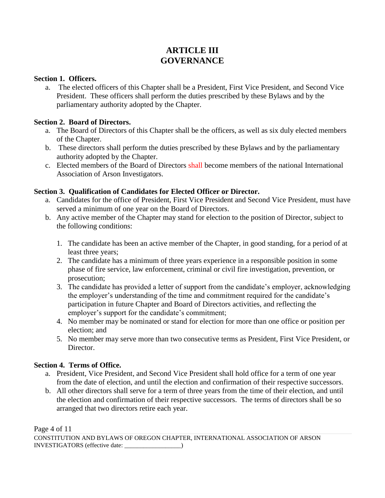# **ARTICLE III GOVERNANCE**

#### **Section 1. Officers.**

a. The elected officers of this Chapter shall be a President, First Vice President, and Second Vice President. These officers shall perform the duties prescribed by these Bylaws and by the parliamentary authority adopted by the Chapter.

### **Section 2. Board of Directors.**

- a. The Board of Directors of this Chapter shall be the officers, as well as six duly elected members of the Chapter.
- b. These directors shall perform the duties prescribed by these Bylaws and by the parliamentary authority adopted by the Chapter.
- c. Elected members of the Board of Directors shall become members of the national International Association of Arson Investigators.

## **Section 3. Qualification of Candidates for Elected Officer or Director.**

- a. Candidates for the office of President, First Vice President and Second Vice President, must have served a minimum of one year on the Board of Directors.
- b. Any active member of the Chapter may stand for election to the position of Director, subject to the following conditions:
	- 1. The candidate has been an active member of the Chapter, in good standing, for a period of at least three years;
	- 2. The candidate has a minimum of three years experience in a responsible position in some phase of fire service, law enforcement, criminal or civil fire investigation, prevention, or prosecution;
	- 3. The candidate has provided a letter of support from the candidate's employer, acknowledging the employer's understanding of the time and commitment required for the candidate's participation in future Chapter and Board of Directors activities, and reflecting the employer's support for the candidate's commitment;
	- 4. No member may be nominated or stand for election for more than one office or position per election; and
	- 5. No member may serve more than two consecutive terms as President, First Vice President, or Director.

#### **Section 4. Terms of Office.**

- a. President, Vice President, and Second Vice President shall hold office for a term of one year from the date of election, and until the election and confirmation of their respective successors.
- b. All other directors shall serve for a term of three years from the time of their election, and until the election and confirmation of their respective successors. The terms of directors shall be so arranged that two directors retire each year.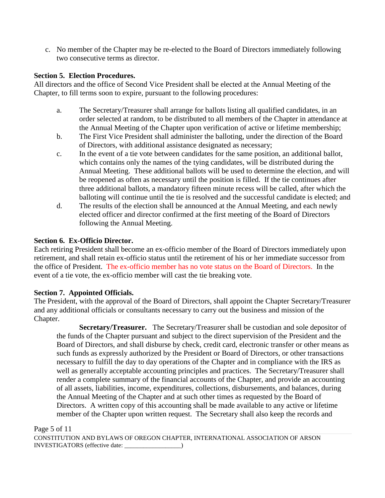c. No member of the Chapter may be re-elected to the Board of Directors immediately following two consecutive terms as director.

#### **Section 5. Election Procedures.**

All directors and the office of Second Vice President shall be elected at the Annual Meeting of the Chapter, to fill terms soon to expire, pursuant to the following procedures:

- a. The Secretary/Treasurer shall arrange for ballots listing all qualified candidates, in an order selected at random, to be distributed to all members of the Chapter in attendance at the Annual Meeting of the Chapter upon verification of active or lifetime membership;
- b. The First Vice President shall administer the balloting, under the direction of the Board of Directors, with additional assistance designated as necessary;
- c. In the event of a tie vote between candidates for the same position, an additional ballot, which contains only the names of the tying candidates, will be distributed during the Annual Meeting. These additional ballots will be used to determine the election, and will be reopened as often as necessary until the position is filled. If the tie continues after three additional ballots, a mandatory fifteen minute recess will be called, after which the balloting will continue until the tie is resolved and the successful candidate is elected; and
- d. The results of the election shall be announced at the Annual Meeting, and each newly elected officer and director confirmed at the first meeting of the Board of Directors following the Annual Meeting.

## **Section 6. Ex-Officio Director.**

Each retiring President shall become an ex-officio member of the Board of Directors immediately upon retirement, and shall retain ex-officio status until the retirement of his or her immediate successor from the office of President. The ex-officio member has no vote status on the Board of Directors. In the event of a tie vote, the ex-officio member will cast the tie breaking vote.

## **Section 7. Appointed Officials.**

The President, with the approval of the Board of Directors, shall appoint the Chapter Secretary/Treasurer and any additional officials or consultants necessary to carry out the business and mission of the Chapter.

**Secretary/Treasurer.** The Secretary/Treasurer shall be custodian and sole depositor of the funds of the Chapter pursuant and subject to the direct supervision of the President and the Board of Directors, and shall disburse by check, credit card, electronic transfer or other means as such funds as expressly authorized by the President or Board of Directors, or other transactions necessary to fulfill the day to day operations of the Chapter and in compliance with the IRS as well as generally acceptable accounting principles and practices. The Secretary/Treasurer shall render a complete summary of the financial accounts of the Chapter, and provide an accounting of all assets, liabilities, income, expenditures, collections, disbursements, and balances, during the Annual Meeting of the Chapter and at such other times as requested by the Board of Directors. A written copy of this accounting shall be made available to any active or lifetime member of the Chapter upon written request. The Secretary shall also keep the records and

Page 5 of 11

CONSTITUTION AND BYLAWS OF OREGON CHAPTER, INTERNATIONAL ASSOCIATION OF ARSON INVESTIGATORS (effective date: \_\_\_\_\_\_\_\_\_\_\_\_\_\_\_\_\_\_)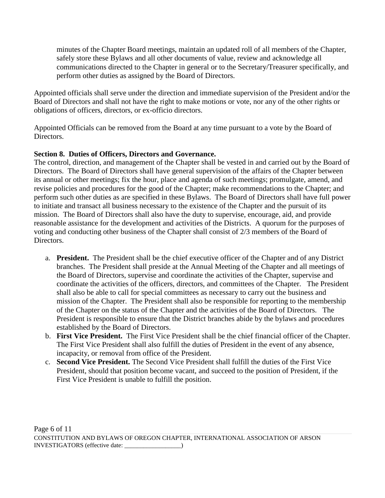minutes of the Chapter Board meetings, maintain an updated roll of all members of the Chapter, safely store these Bylaws and all other documents of value, review and acknowledge all communications directed to the Chapter in general or to the Secretary/Treasurer specifically, and perform other duties as assigned by the Board of Directors.

Appointed officials shall serve under the direction and immediate supervision of the President and/or the Board of Directors and shall not have the right to make motions or vote, nor any of the other rights or obligations of officers, directors, or ex-officio directors.

Appointed Officials can be removed from the Board at any time pursuant to a vote by the Board of **Directors** 

# **Section 8. Duties of Officers, Directors and Governance.**

The control, direction, and management of the Chapter shall be vested in and carried out by the Board of Directors. The Board of Directors shall have general supervision of the affairs of the Chapter between its annual or other meetings; fix the hour, place and agenda of such meetings; promulgate, amend, and revise policies and procedures for the good of the Chapter; make recommendations to the Chapter; and perform such other duties as are specified in these Bylaws. The Board of Directors shall have full power to initiate and transact all business necessary to the existence of the Chapter and the pursuit of its mission. The Board of Directors shall also have the duty to supervise, encourage, aid, and provide reasonable assistance for the development and activities of the Districts. A quorum for the purposes of voting and conducting other business of the Chapter shall consist of 2/3 members of the Board of Directors.

- a. **President.** The President shall be the chief executive officer of the Chapter and of any District branches. The President shall preside at the Annual Meeting of the Chapter and all meetings of the Board of Directors, supervise and coordinate the activities of the Chapter, supervise and coordinate the activities of the officers, directors, and committees of the Chapter. The President shall also be able to call for special committees as necessary to carry out the business and mission of the Chapter. The President shall also be responsible for reporting to the membership of the Chapter on the status of the Chapter and the activities of the Board of Directors. The President is responsible to ensure that the District branches abide by the bylaws and procedures established by the Board of Directors.
- b. **First Vice President.** The First Vice President shall be the chief financial officer of the Chapter. The First Vice President shall also fulfill the duties of President in the event of any absence, incapacity, or removal from office of the President.
- c. **Second Vice President.** The Second Vice President shall fulfill the duties of the First Vice President, should that position become vacant, and succeed to the position of President, if the First Vice President is unable to fulfill the position.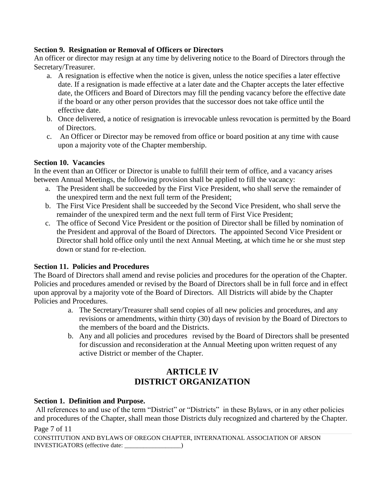## **Section 9. Resignation or Removal of Officers or Directors**

An officer or director may resign at any time by delivering notice to the Board of Directors through the Secretary/Treasurer.

- a. A resignation is effective when the notice is given, unless the notice specifies a later effective date. If a resignation is made effective at a later date and the Chapter accepts the later effective date, the Officers and Board of Directors may fill the pending vacancy before the effective date if the board or any other person provides that the successor does not take office until the effective date.
- b. Once delivered, a notice of resignation is irrevocable unless revocation is permitted by the Board of Directors.
- c. An Officer or Director may be removed from office or board position at any time with cause upon a majority vote of the Chapter membership.

### **Section 10. Vacancies**

In the event than an Officer or Director is unable to fulfill their term of office, and a vacancy arises between Annual Meetings, the following provision shall be applied to fill the vacancy:

- a. The President shall be succeeded by the First Vice President, who shall serve the remainder of the unexpired term and the next full term of the President;
- b. The First Vice President shall be succeeded by the Second Vice President, who shall serve the remainder of the unexpired term and the next full term of First Vice President;
- c. The office of Second Vice President or the position of Director shall be filled by nomination of the President and approval of the Board of Directors. The appointed Second Vice President or Director shall hold office only until the next Annual Meeting, at which time he or she must step down or stand for re-election.

#### **Section 11. Policies and Procedures**

The Board of Directors shall amend and revise policies and procedures for the operation of the Chapter. Policies and procedures amended or revised by the Board of Directors shall be in full force and in effect upon approval by a majority vote of the Board of Directors. All Districts will abide by the Chapter Policies and Procedures.

- a. The Secretary/Treasurer shall send copies of all new policies and procedures, and any revisions or amendments, within thirty (30) days of revision by the Board of Directors to the members of the board and the Districts.
- b. Any and all policies and procedures revised by the Board of Directors shall be presented for discussion and reconsideration at the Annual Meeting upon written request of any active District or member of the Chapter.

# **ARTICLE IV DISTRICT ORGANIZATION**

#### **Section 1. Definition and Purpose.**

All references to and use of the term "District" or "Districts" in these Bylaws, or in any other policies and procedures of the Chapter, shall mean those Districts duly recognized and chartered by the Chapter.

Page 7 of 11

CONSTITUTION AND BYLAWS OF OREGON CHAPTER, INTERNATIONAL ASSOCIATION OF ARSON INVESTIGATORS (effective date: \_\_\_\_\_\_\_\_\_\_\_\_\_\_\_\_\_\_)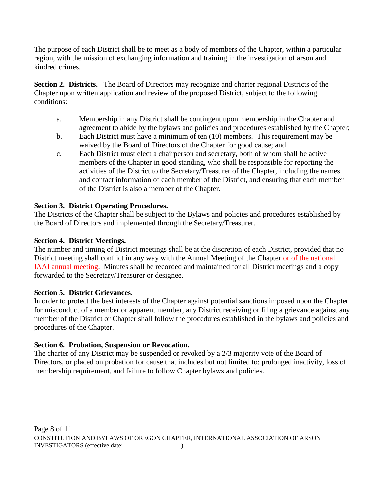The purpose of each District shall be to meet as a body of members of the Chapter, within a particular region, with the mission of exchanging information and training in the investigation of arson and kindred crimes.

**Section 2. Districts.** The Board of Directors may recognize and charter regional Districts of the Chapter upon written application and review of the proposed District, subject to the following conditions:

- a. Membership in any District shall be contingent upon membership in the Chapter and agreement to abide by the bylaws and policies and procedures established by the Chapter;
- b. Each District must have a minimum of ten (10) members. This requirement may be waived by the Board of Directors of the Chapter for good cause; and
- c. Each District must elect a chairperson and secretary, both of whom shall be active members of the Chapter in good standing, who shall be responsible for reporting the activities of the District to the Secretary/Treasurer of the Chapter, including the names and contact information of each member of the District, and ensuring that each member of the District is also a member of the Chapter.

# **Section 3. District Operating Procedures.**

The Districts of the Chapter shall be subject to the Bylaws and policies and procedures established by the Board of Directors and implemented through the Secretary/Treasurer.

# **Section 4. District Meetings.**

The number and timing of District meetings shall be at the discretion of each District, provided that no District meeting shall conflict in any way with the Annual Meeting of the Chapter or of the national IAAI annual meeting. Minutes shall be recorded and maintained for all District meetings and a copy forwarded to the Secretary/Treasurer or designee.

## **Section 5. District Grievances.**

In order to protect the best interests of the Chapter against potential sanctions imposed upon the Chapter for misconduct of a member or apparent member, any District receiving or filing a grievance against any member of the District or Chapter shall follow the procedures established in the bylaws and policies and procedures of the Chapter.

## **Section 6. Probation, Suspension or Revocation.**

The charter of any District may be suspended or revoked by a 2/3 majority vote of the Board of Directors, or placed on probation for cause that includes but not limited to: prolonged inactivity, loss of membership requirement, and failure to follow Chapter bylaws and policies.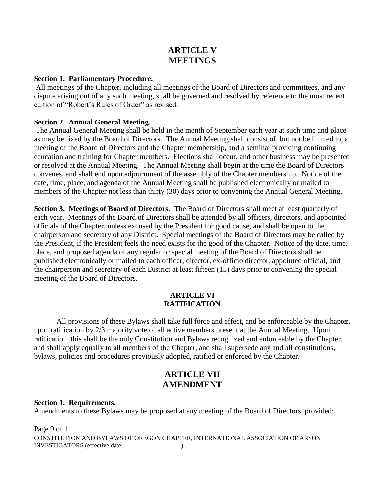# **ARTICLE V MEETINGS**

#### **Section 1. Parliamentary Procedure.**

All meetings of the Chapter, including all meetings of the Board of Directors and committees, and any dispute arising out of any such meeting, shall be governed and resolved by reference to the most recent edition of "Robert's Rules of Order" as revised.

#### **Section 2. Annual General Meeting.**

The Annual General Meeting shall be held in the month of September each year at such time and place as may be fixed by the Board of Directors. The Annual Meeting shall consist of, but not be limited to, a meeting of the Board of Directors and the Chapter membership, and a seminar providing continuing education and training for Chapter members. Elections shall occur, and other business may be presented or resolved at the Annual Meeting. The Annual Meeting shall begin at the time the Board of Directors convenes, and shall end upon adjournment of the assembly of the Chapter membership. Notice of the date, time, place, and agenda of the Annual Meeting shall be published electronically or mailed to members of the Chapter not less than thirty (30) days prior to convening the Annual General Meeting.

**Section 3. Meetings of Board of Directors.** The Board of Directors shall meet at least quarterly of each year. Meetings of the Board of Directors shall be attended by all officers, directors, and appointed officials of the Chapter, unless excused by the President for good cause, and shall be open to the chairperson and secretary of any District. Special meetings of the Board of Directors may be called by the President, if the President feels the need exists for the good of the Chapter. Notice of the date, time, place, and proposed agenda of any regular or special meeting of the Board of Directors shall be published electronically or mailed to each officer, director, ex-officio director, appointed official, and the chairperson and secretary of each District at least fifteen (15) days prior to convening the special meeting of the Board of Directors.

#### **ARTICLE VI RATIFICATION**

All provisions of these Bylaws shall take full force and effect, and be enforceable by the Chapter, upon ratification by 2/3 majority vote of all active members present at the Annual Meeting. Upon ratification, this shall be the only Constitution and Bylaws recognized and enforceable by the Chapter, and shall apply equally to all members of the Chapter, and shall supersede any and all constitutions, bylaws, policies and procedures previously adopted, ratified or enforced by the Chapter.

# **ARTICLE VII AMENDMENT**

#### **Section 1. Requirements.**

Amendments to these Bylaws may be proposed at any meeting of the Board of Directors, provided:

Page 9 of 11 CONSTITUTION AND BYLAWS OF OREGON CHAPTER, INTERNATIONAL ASSOCIATION OF ARSON INVESTIGATORS (effective date: \_\_\_\_\_\_\_\_\_\_\_\_\_\_\_\_\_\_)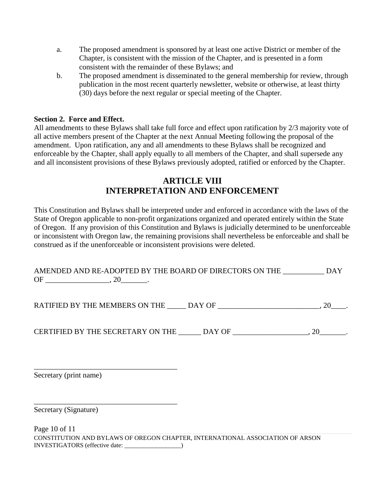- a. The proposed amendment is sponsored by at least one active District or member of the Chapter, is consistent with the mission of the Chapter, and is presented in a form consistent with the remainder of these Bylaws; and
- b. The proposed amendment is disseminated to the general membership for review, through publication in the most recent quarterly newsletter, website or otherwise, at least thirty (30) days before the next regular or special meeting of the Chapter.

#### **Section 2. Force and Effect.**

All amendments to these Bylaws shall take full force and effect upon ratification by 2/3 majority vote of all active members present of the Chapter at the next Annual Meeting following the proposal of the amendment. Upon ratification, any and all amendments to these Bylaws shall be recognized and enforceable by the Chapter, shall apply equally to all members of the Chapter, and shall supersede any and all inconsistent provisions of these Bylaws previously adopted, ratified or enforced by the Chapter.

# **ARTICLE VIII INTERPRETATION AND ENFORCEMENT**

This Constitution and Bylaws shall be interpreted under and enforced in accordance with the laws of the State of Oregon applicable to non-profit organizations organized and operated entirely within the State of Oregon. If any provision of this Constitution and Bylaws is judicially determined to be unenforceable or inconsistent with Oregon law, the remaining provisions shall nevertheless be enforceable and shall be construed as if the unenforceable or inconsistent provisions were deleted.

|    | AMENDED AND RE-ADOPTED BY THE BOARD OF DIRECTORS ON THE |  |
|----|---------------------------------------------------------|--|
| OF |                                                         |  |

RATIFIED BY THE MEMBERS ON THE \_\_\_\_\_ DAY OF \_\_\_\_\_\_\_\_\_\_\_\_\_\_\_\_\_\_\_\_\_\_\_\_\_, 20\_\_\_\_.

CERTIFIED BY THE SECRETARY ON THE \_\_\_\_\_\_ DAY OF \_\_\_\_\_\_\_\_\_\_\_\_\_\_\_\_\_\_\_\_, 20\_\_\_\_\_\_\_.

Secretary (print name)

\_\_\_\_\_\_\_\_\_\_\_\_\_\_\_\_\_\_\_\_\_\_\_\_\_\_\_\_\_\_\_\_\_\_\_\_\_\_

\_\_\_\_\_\_\_\_\_\_\_\_\_\_\_\_\_\_\_\_\_\_\_\_\_\_\_\_\_\_\_\_\_\_\_\_\_\_

Secretary (Signature)

Page 10 of 11 CONSTITUTION AND BYLAWS OF OREGON CHAPTER, INTERNATIONAL ASSOCIATION OF ARSON INVESTIGATORS (effective date: \_\_\_\_\_\_\_\_\_\_\_\_\_\_\_\_\_\_)